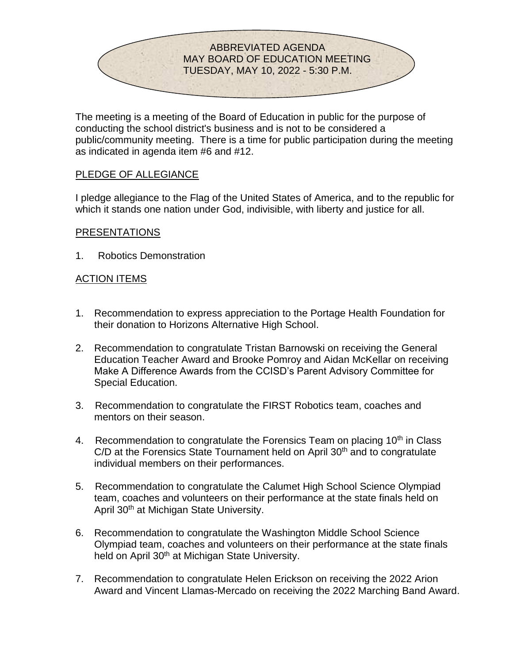

The meeting is a meeting of the Board of Education in public for the purpose of conducting the school district's business and is not to be considered a public/community meeting. There is a time for public participation during the meeting as indicated in agenda item #6 and #12.

#### PLEDGE OF ALLEGIANCE

I pledge allegiance to the Flag of the United States of America, and to the republic for which it stands one nation under God, indivisible, with liberty and justice for all.

#### PRESENTATIONS

1. Robotics Demonstration

# ACTION ITEMS

- 1. Recommendation to express appreciation to the Portage Health Foundation for their donation to Horizons Alternative High School.
- 2. Recommendation to congratulate Tristan Barnowski on receiving the General Education Teacher Award and Brooke Pomroy and Aidan McKellar on receiving Make A Difference Awards from the CCISD's Parent Advisory Committee for Special Education.
- 3. Recommendation to congratulate the FIRST Robotics team, coaches and mentors on their season.
- 4. Recommendation to congratulate the Forensics Team on placing  $10<sup>th</sup>$  in Class  $C/D$  at the Forensics State Tournament held on April 30<sup>th</sup> and to congratulate individual members on their performances.
- 5. Recommendation to congratulate the Calumet High School Science Olympiad team, coaches and volunteers on their performance at the state finals held on April 30<sup>th</sup> at Michigan State University.
- 6. Recommendation to congratulate the Washington Middle School Science Olympiad team, coaches and volunteers on their performance at the state finals held on April 30<sup>th</sup> at Michigan State University.
- 7. Recommendation to congratulate Helen Erickson on receiving the 2022 Arion Award and Vincent Llamas-Mercado on receiving the 2022 Marching Band Award.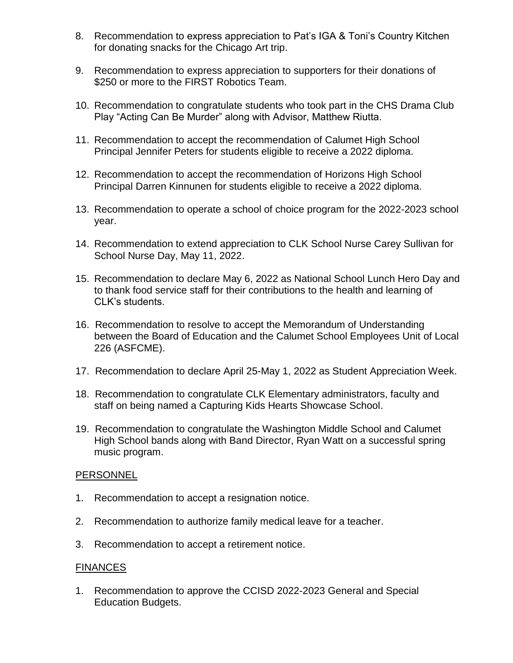- 8. Recommendation to express appreciation to Pat's IGA & Toni's Country Kitchen for donating snacks for the Chicago Art trip.
- 9. Recommendation to express appreciation to supporters for their donations of \$250 or more to the FIRST Robotics Team.
- 10. Recommendation to congratulate students who took part in the CHS Drama Club Play "Acting Can Be Murder" along with Advisor, Matthew Riutta.
- 11. Recommendation to accept the recommendation of Calumet High School Principal Jennifer Peters for students eligible to receive a 2022 diploma.
- 12. Recommendation to accept the recommendation of Horizons High School Principal Darren Kinnunen for students eligible to receive a 2022 diploma.
- 13. Recommendation to operate a school of choice program for the 2022-2023 school year.
- 14. Recommendation to extend appreciation to CLK School Nurse Carey Sullivan for School Nurse Day, May 11, 2022.
- 15. Recommendation to declare May 6, 2022 as National School Lunch Hero Day and to thank food service staff for their contributions to the health and learning of CLK's students.
- 16. Recommendation to resolve to accept the Memorandum of Understanding between the Board of Education and the Calumet School Employees Unit of Local 226 (ASFCME).
- 17. Recommendation to declare April 25-May 1, 2022 as Student Appreciation Week.
- 18. Recommendation to congratulate CLK Elementary administrators, faculty and staff on being named a Capturing Kids Hearts Showcase School.
- 19. Recommendation to congratulate the Washington Middle School and Calumet High School bands along with Band Director, Ryan Watt on a successful spring music program.

#### **PERSONNEL**

- 1. Recommendation to accept a resignation notice.
- 2. Recommendation to authorize family medical leave for a teacher.
- 3. Recommendation to accept a retirement notice.

#### FINANCES

1. Recommendation to approve the CCISD 2022-2023 General and Special Education Budgets.